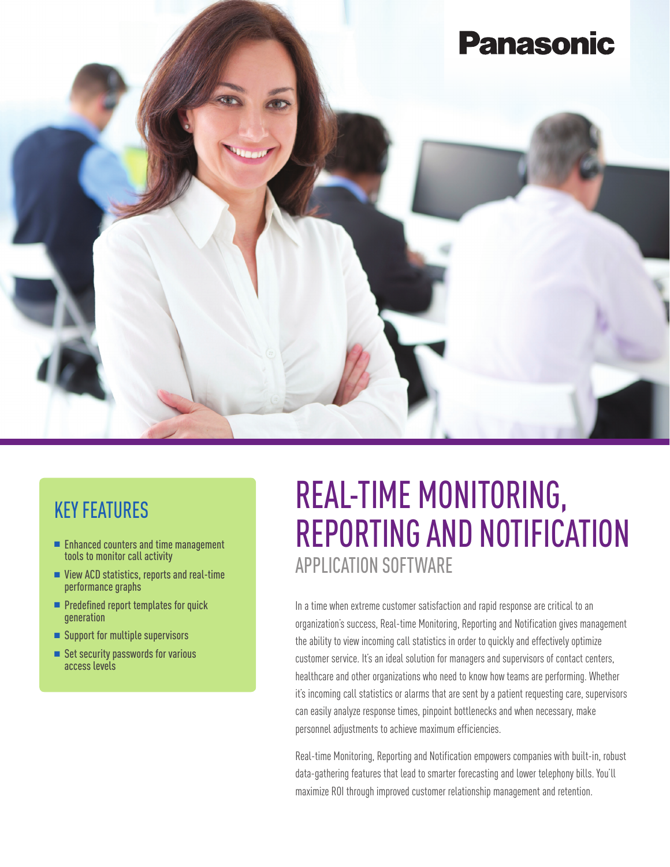

#### KEY FEATURES

- **n** Enhanced counters and time management tools to monitor call activity
- $\blacksquare$  View ACD statistics, reports and real-time performance graphs
- $\blacksquare$  Predefined report templates for quick generation
- Support for multiple supervisors
- Set security passwords for various access levels

# REAL-TIME MONITORING, REPORTING AND NOTIFICATION APPLICATION SOFTWARE

In a time when extreme customer satisfaction and rapid response are critical to an organization's success, Real-time Monitoring, Reporting and Notification gives management the ability to view incoming call statistics in order to quickly and effectively optimize customer service. It's an ideal solution for managers and supervisors of contact centers, healthcare and other organizations who need to know how teams are performing. Whether it's incoming call statistics or alarms that are sent by a patient requesting care, supervisors can easily analyze response times, pinpoint bottlenecks and when necessary, make personnel adjustments to achieve maximum efficiencies.

Real-time Monitoring, Reporting and Notification empowers companies with built-in, robust data-gathering features that lead to smarter forecasting and lower telephony bills. You'll maximize ROI through improved customer relationship management and retention.